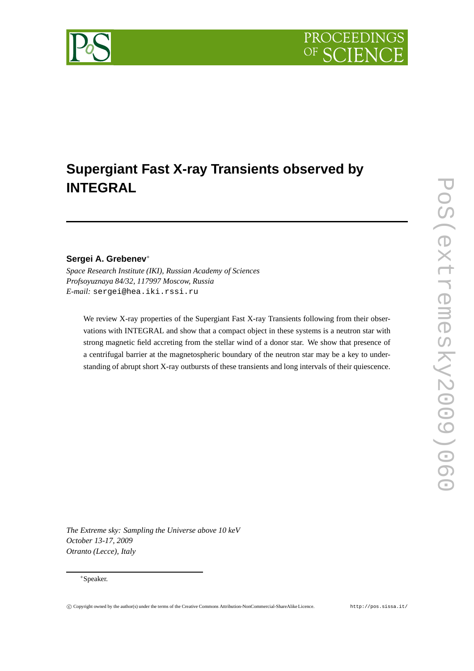

# **Sergei A. Grebenev** ∗

*Space Research Institute (IKI), Russian Academy of Sciences Profsoyuznaya 84/32, 117997 Moscow, Russia E-mail:* sergei@hea.iki.rssi.ru

We review X-ray properties of the Supergiant Fast X-ray Transients following from their observations with INTEGRAL and show that a compact object in these systems is a neutron star with strong magnetic field accreting from the stellar wind of a donor star. We show that presence of a centrifugal barrier at the magnetospheric boundary of the neutron star may be a key to understanding of abrupt short X-ray outbursts of these transients and long intervals of their quiescence.

*The Extreme sky: Sampling the Universe above 10 keV October 13-17, 2009 Otranto (Lecce), Italy*

#### <sup>∗</sup>Speaker.

**PROCEEDING** 

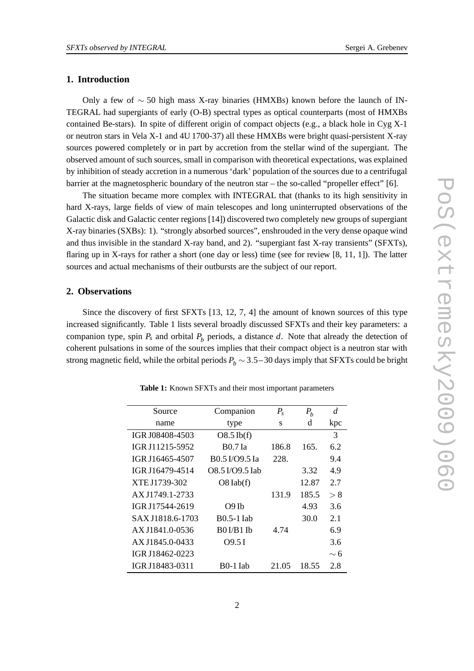#### **1. Introduction**

Only a few of ∼ 50 high mass X-ray binaries (HMXBs) known before the launch of IN-TEGRAL had supergiants of early (O-B) spectral types as optical counterparts (most of HMXBs contained Be-stars). In spite of different origin of compact objects (e.g., a black hole in Cyg  $X-1$ or neutron stars in Vela X-1 and 4U 1700-37) all these HMXBs were bright quasi-persistent X-ray sources powered completely or in part by accretion from the stellar wind of the supergiant. The observed amount of such sources, small in comparison with theoretical expectations, was explained by inhibition of steady accretion in a numerous 'dark' population of the sources due to a centrifugal barrier at the magnetospheric boundary of the neutron star – the so-called "propeller effect" [6].

The situation became more complex with INTEGRAL that (thanks to its high sensitivity in hard X-rays, large fields of view of main telescopes and long uninterrupted observations of the Galactic disk and Galactic center regions [14]) discovered two completely new groups of supergiant X-ray binaries (SXBs): 1). "strongly absorbed sources", enshrouded in the very dense opaque wind and thus invisible in the standard X-ray band, and 2). "supergiant fast X-ray transients" (SFXTs), flaring up in X-rays for rather a short (one day or less) time (see for review [8, 11, 1]). The latter sources and actual mechanisms of their outbursts are the subject of our report.

#### **2. Observations**

Since the discovery of first SFXTs [13, 12, 7, 4] the amount of known sources of this type increased significantly. Table 1 lists several broadly discussed SFXTs and their key parameters: a companion type, spin  $P_s$  and orbital  $P_b$  periods, a distance  $d$ . Note that already the detection of coherent pulsations in some of the sources implies that their compact object is a neutron star with strong magnetic field, while the orbital periods  $P_b \sim 3.5-30$  days imply that SFXTs could be bright

| Source           | Companion                        | $P_{s}$ | $P_{b}$ | $\overline{d}$ |
|------------------|----------------------------------|---------|---------|----------------|
| name             | type                             | S       | d       | kpc            |
| IGR J08408-4503  | $O8.5$ Ib(f)                     |         |         | 3              |
| IGR J11215-5952  | <b>B0.7</b> Ia                   | 186.8   | 165.    | 6.2            |
| IGR J16465-4507  | B0.5 I/O9.5 Ia                   | 228.    |         | 9.4            |
| IGR J16479-4514  | O8.5 I/O9.5 Iab                  |         | 3.32    | 4.9            |
| XTE J1739-302    | $O8$ $lab(f)$                    |         | 12.87   | 2.7            |
| AX J1749.1-2733  |                                  | 131.9   | 185.5   | > 8            |
| IGR J17544-2619  | $O9$ Ib                          |         | 4.93    | 3.6            |
| SAX J1818.6-1703 | <b>B0.5-1 Iab</b>                |         | 30.0    | 2.1            |
| AX J1841.0-0536  | B0 <sub>I</sub> /B1 <sub>I</sub> | 4.74    |         | 6.9            |
| AX J1845.0-0433  | 09.5I                            |         |         | 3.6            |
| IGR J18462-0223  |                                  |         |         | $\sim$ 6       |
| IGR J18483-0311  | B <sub>0</sub> -1 Iab            | 21.05   | 18.55   | 2.8            |

**Table 1:** Known SFXTs and their most important parameters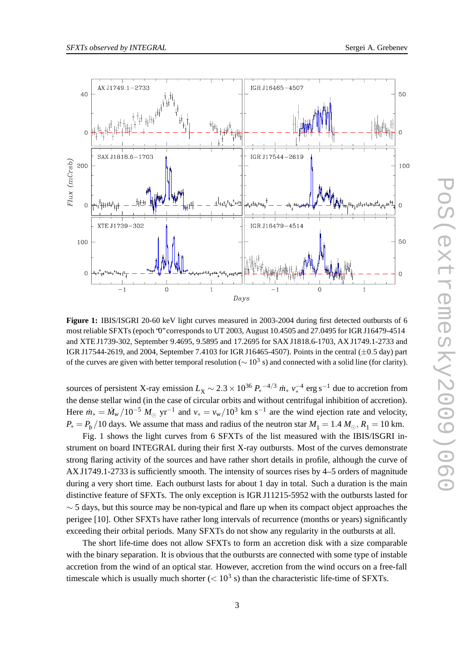

**Figure 1:** IBIS/ISGRI 20-60 keV light curves measured in 2003-2004 during first detected outbursts of 6 most reliable SFXTs (epoch '0" corresponds to UT 2003, August 10.4505 and 27.0495 for IGR J16479-4514 and XTE J1739-302, September 9.4695, 9.5895 and 17.2695 for SAX J1818.6-1703, AX J1749.1-2733 and IGR J17544-2619, and 2004, September 7.4103 for IGR J16465-4507). Points in the central  $(\pm 0.5 \text{ day})$  part of the curves are given with better temporal resolution ( $\sim 10^3$  s) and connected with a solid line (for clarity).

sources of persistent X-ray emission  $L_X \sim 2.3 \times 10^{36} P_*^{-4/3} m_* v_*^{-4}$  erg s<sup>-1</sup> due to accretion from the dense stellar wind (in the case of circular orbits and without centrifugal inhibition of accretion). Here  $\dot{m}_* = \dot{M}_w / 10^{-5} M_\odot \text{ yr}^{-1}$  and  $v_* = v_w / 10^3 \text{ km s}^{-1}$  are the wind ejection rate and velocity,  $P_* = P_b / 10$  days. We assume that mass and radius of the neutron star  $M_1 = 1.4 M_{\odot}$ ,  $R_1 = 10$  km.

Fig. 1 shows the light curves from 6 SFXTs of the list measured with the IBIS/ISGRI instrument on board INTEGRAL during their first X-ray outbursts. Most of the curves demonstrate strong flaring activity of the sources and have rather short details in profile, although the curve of AX J1749.1-2733 is sufficiently smooth. The intensity of sources rises by 4–5 orders of magnitude during a very short time. Each outburst lasts for about 1 day in total. Such a duration is the main distinctive feature of SFXTs. The only exception is IGRJ11215-5952 with the outbursts lasted for  $\sim$  5 days, but this source may be non-typical and flare up when its compact object approaches the perigee [10]. Other SFXTs have rather long intervals of recurrence (months or years) significantly exceeding their orbital periods. Many SFXTs do not show any regularity in the outbursts at all.

The short life-time does not allow SFXTs to form an accretion disk with a size comparable with the binary separation. It is obvious that the outbursts are connected with some type of instable accretion from the wind of an optical star. However, accretion from the wind occurs on a free-fall timescale which is usually much shorter  $(< 10<sup>3</sup>$  s) than the characteristic life-time of SFXTs.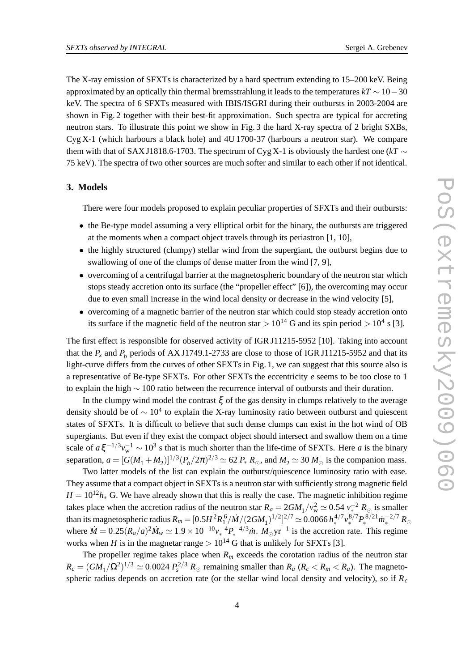The X-ray emission of SFXTs is characterized by a hard spectrum extending to 15–200 keV. Being approximated by an optically thin thermal bremsstrahlung it leads to the temperatures *kT* ∼ 10−30 keV. The spectra of 6 SFXTs measured with IBIS/ISGRI during their outbursts in 2003-2004 are shown in Fig. 2 together with their best-fit approximation. Such spectra are typical for accreting neutron stars. To illustrate this point we show in Fig. 3 the hard X-ray spectra of 2 bright SXBs, Cyg X-1 (which harbours a black hole) and 4U 1700-37 (harbours a neutron star). We compare them with that of SAX J1818.6-1703. The spectrum of Cyg X-1 is obviously the hardest one ( $kT \sim$ 75 keV). The spectra of two other sources are much softer and similar to each other if not identical.

### **3. Models**

There were four models proposed to explain peculiar properties of SFXTs and their outbursts:

- the Be-type model assuming a very elliptical orbit for the binary, the outbursts are triggered at the moments when a compact object travels through its periastron [1, 10],
- the highly structured (clumpy) stellar wind from the supergiant, the outburst begins due to swallowing of one of the clumps of dense matter from the wind [7, 9],
- overcoming of a centrifugal barrier at the magnetospheric boundary of the neutron star which stops steady accretion onto its surface (the "propeller effect" [6]), the overcoming may occur due to even small increase in the wind local density or decrease in the wind velocity [5],
- overcoming of a magnetic barrier of the neutron star which could stop steady accretion onto its surface if the magnetic field of the neutron star  $> 10^{14}$  G and its spin period  $> 10^4$  s [3].

The first effect is responsible for observed activity of IGR J11215-5952 [10]. Taking into account that the  $P_s$  and  $P_b$  periods of AX J1749.1-2733 are close to those of IGR J11215-5952 and that its light-curve differs from the curves of other SFXTs in Fig. 1, we can suggest that this source also is a representative of Be-type SFXTs. For other SFXTs the eccentricity *e* seems to be too close to 1 to explain the high  $\sim$  100 ratio between the recurrence interval of outbursts and their duration.

In the clumpy wind model the contrast  $\xi$  of the gas density in clumps relatively to the average density should be of  $\sim 10^4$  to explain the X-ray luminosity ratio between outburst and quiescent states of SFXTs. It is difficult to believe that such dense clumps can exist in the hot wind of OB supergiants. But even if they exist the compact object should intersect and swallow them on a time scale of  $a \xi^{-1/3} v_w^{-1} \sim 10^3$  s that is much shorter than the life-time of SFXTs. Here *a* is the binary separation,  $a = [G(M_1 + M_2)]^{1/3} (P_b/2\pi)^{2/3} \simeq 62 P_* R_{\odot}$ , and  $M_2 \simeq 30 M_{\odot}$  is the companion mass.

Two latter models of the list can explain the outburst/quiescence luminosity ratio with ease. They assume that a compact object in SFXTsis a neutron star with sufficiently strong magnetic field  $H = 10^{12} h_{\ast}$  G. We have already shown that this is really the case. The magnetic inhibition regime takes place when the accretion radius of the neutron star  $R_a = 2GM_1/v_w^2 \simeq 0.54 v_*^{-2} R_\odot$  is smaller than its magnetospheric radius  $R_m = [0.5H^2R_1^6/\dot{M}/(2GM_1)^{1/2}]^{2/7} \simeq 0.0066\,h_*^{4/7}v_*^{8/7}P_*^{8/21}\dot{m}_*^{-2/7}R_\odot$ where  $\dot{M} = 0.25(R_a/a)^2 \dot{M}_w \simeq 1.9 \times 10^{-10} v_*^{-4} P_*^{-4/3} \dot{m}_* M_{\odot} \text{yr}^{-1}$  is the accretion rate. This regime works when *H* is in the magnetar range  $> 10^{14}$  G that is unlikely for SFXTs [3].

The propeller regime takes place when  $R_m$  exceeds the corotation radius of the neutron star  $R_c = (GM_1/\Omega^2)^{1/3} \simeq 0.0024 P_s^{2/3} R_\odot$  remaining smaller than  $R_a$  ( $R_c < R_m < R_a$ ). The magnetospheric radius depends on accretion rate (or the stellar wind local density and velocity), so if *R<sup>c</sup>*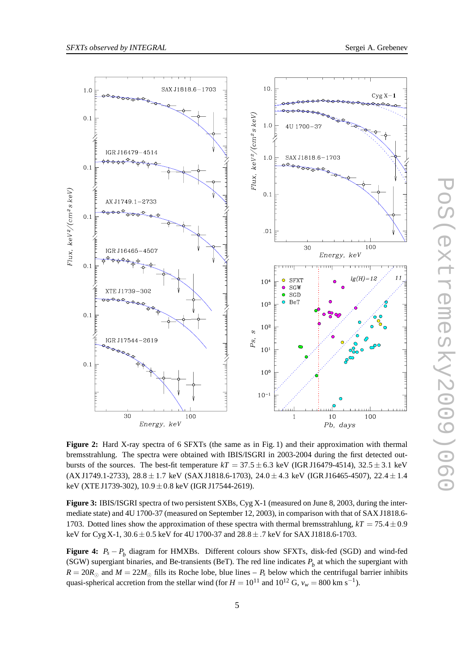



**Figure 2:** Hard X-ray spectra of 6 SFXTs (the same as in Fig. 1) and their approximation with thermal bremsstrahlung. The spectra were obtained with IBIS/ISGRI in 2003-2004 during the first detected outbursts of the sources. The best-fit temperature  $kT = 37.5 \pm 6.3$  keV (IGR J16479-4514),  $32.5 \pm 3.1$  keV  $(AX J1749.1-2733), 28.8 \pm 1.7 \text{ keV}$   $(SAX J1818.6-1703), 24.0 \pm 4.3 \text{ keV}$   $(IGR J16465-4507), 22.4 \pm 1.4$ keV (XTE J1739-302), 10.9±0.8 keV (IGR J17544-2619).

**Figure 3:** IBIS/ISGRI spectra of two persistent SXBs, Cyg X-1 (measured on June 8, 2003, during the intermediate state) and 4U 1700-37 (measured on September 12, 2003), in comparison with that of SAX J1818.6- 1703. Dotted lines show the approximation of these spectra with thermal bremsstrahlung,  $kT = 75.4 \pm 0.9$ keV for Cyg X-1,  $30.6 \pm 0.5$  keV for 4U 1700-37 and  $28.8 \pm .7$  keV for SAX J1818.6-1703.

**Figure 4:** *P<sup>s</sup>* − *P<sup>b</sup>* diagram for HMXBs. Different colours show SFXTs, disk-fed (SGD) and wind-fed (SGW) supergiant binaries, and Be-transients (BeT). The red line indicates  $P_b$  at which the supergiant with  $R = 20R_{\odot}$  and  $M = 22M_{\odot}$  fills its Roche lobe, blue lines –  $P_s$  below which the centrifugal barrier inhibits quasi-spherical accretion from the stellar wind (for  $H = 10^{11}$  and  $10^{12}$  G,  $v_w = 800$  km s<sup>-1</sup>).